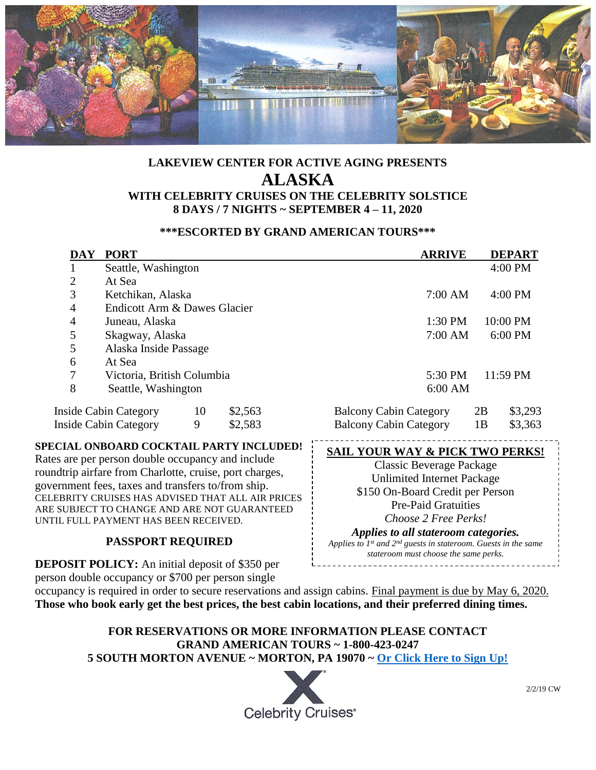

# **LAKEVIEW CENTER FOR ACTIVE AGING PRESENTS ALASKA WITH CELEBRITY CRUISES ON THE CELEBRITY SOLSTICE 8 DAYS / 7 NIGHTS ~ SEPTEMBER 4 – 11, 2020**

#### **\*\*\*ESCORTED BY GRAND AMERICAN TOURS\*\*\***

| <b>DAY</b>                                                                                                                                                                                                                                                                                                                                                                   | <b>PORT</b>                              |    |                            |                                            | <b>ARRIVE</b> |    | <b>DEPART</b> |
|------------------------------------------------------------------------------------------------------------------------------------------------------------------------------------------------------------------------------------------------------------------------------------------------------------------------------------------------------------------------------|------------------------------------------|----|----------------------------|--------------------------------------------|---------------|----|---------------|
|                                                                                                                                                                                                                                                                                                                                                                              | Seattle, Washington                      |    |                            |                                            |               |    | 4:00 PM       |
| $\overline{2}$                                                                                                                                                                                                                                                                                                                                                               | At Sea                                   |    |                            |                                            |               |    |               |
| 3                                                                                                                                                                                                                                                                                                                                                                            | Ketchikan, Alaska                        |    |                            |                                            | 7:00 AM       |    | 4:00 PM       |
| 4                                                                                                                                                                                                                                                                                                                                                                            | Endicott Arm & Dawes Glacier             |    |                            |                                            |               |    |               |
| 4                                                                                                                                                                                                                                                                                                                                                                            | Juneau, Alaska                           |    |                            |                                            | 1:30 PM       |    | 10:00 PM      |
| 5                                                                                                                                                                                                                                                                                                                                                                            | Skagway, Alaska                          |    |                            |                                            | $7:00$ AM     |    | 6:00 PM       |
| 5                                                                                                                                                                                                                                                                                                                                                                            | Alaska Inside Passage                    |    |                            |                                            |               |    |               |
| 6                                                                                                                                                                                                                                                                                                                                                                            | At Sea                                   |    |                            |                                            |               |    |               |
| 7                                                                                                                                                                                                                                                                                                                                                                            | Victoria, British Columbia               |    |                            |                                            | 5:30 PM       |    | 11:59 PM      |
| 8                                                                                                                                                                                                                                                                                                                                                                            | Seattle, Washington                      |    |                            |                                            | 6:00 AM       |    |               |
|                                                                                                                                                                                                                                                                                                                                                                              | <b>Inside Cabin Category</b>             | 10 | \$2,563                    | <b>Balcony Cabin Category</b>              |               | 2B | \$3,293       |
|                                                                                                                                                                                                                                                                                                                                                                              | <b>Inside Cabin Category</b>             | 9  | \$2,583                    | <b>Balcony Cabin Category</b>              |               | 1B | \$3,363       |
|                                                                                                                                                                                                                                                                                                                                                                              | SPECIAL ONBOARD COCKTAIL PARTY INCLUDED! |    |                            | <b>SAIL YOUR WAY &amp; PICK TWO PERKS!</b> |               |    |               |
| Rates are per person double occupancy and include                                                                                                                                                                                                                                                                                                                            |                                          |    | Classic Beverage Package   |                                            |               |    |               |
| roundtrip airfare from Charlotte, cruise, port charges,<br>$\mathcal{C}$ and $\mathcal{C}$ and $\mathcal{C}$ and $\mathcal{C}$ and $\mathcal{C}$ and $\mathcal{C}$ and $\mathcal{C}$ and $\mathcal{C}$ and $\mathcal{C}$ and $\mathcal{C}$ and $\mathcal{C}$ and $\mathcal{C}$ and $\mathcal{C}$ and $\mathcal{C}$ and $\mathcal{C}$ and $\mathcal{C}$ and $\mathcal{C}$ and |                                          |    | Unlimited Internet Package |                                            |               |    |               |

roundtrip airfare from Charlotte, cruise, port charges, government fees, taxes and transfers to/from ship. CELEBRITY CRUISES HAS ADVISED THAT ALL AIR PRICES ARE SUBJECT TO CHANGE AND ARE NOT GUARANTEED UNTIL FULL PAYMENT HAS BEEN RECEIVED.

## **PASSPORT REQUIRED**

**DEPOSIT POLICY:** An initial deposit of \$350 per person double occupancy or \$700 per person single

occupancy is required in order to secure reservations and assign cabins. Final payment is due by May 6, 2020. **Those who book early get the best prices, the best cabin locations, and their preferred dining times.**

#### **FOR RESERVATIONS OR MORE INFORMATION PLEASE CONTACT GRAND AMERICAN TOURS ~ 1-800-423-0247 5 SOUTH MORTON AVENUE ~ MORTON, PA 19070 ~ [Or Click Here to Sign Up!](https://www.grandamericantours.com/products/lakeview-center-for-active-aging-presents-alaska-escorted-by-grand-american-tours-september-4-to-11-2020-celebrity-solstice-8-days-7-nights-from-2-563)**



\$150 On-Board Credit per Person Pre-Paid Gratuities *Choose 2 Free Perks! Applies to all stateroom categories. Applies to 1st and 2nd guests in stateroom. Guests in the same stateroom must choose the same perks.*\_\_\_\_\_\_\_\_\_\_\_\_\_\_\_\_\_\_\_\_\_\_\_\_\_\_\_\_\_\_\_\_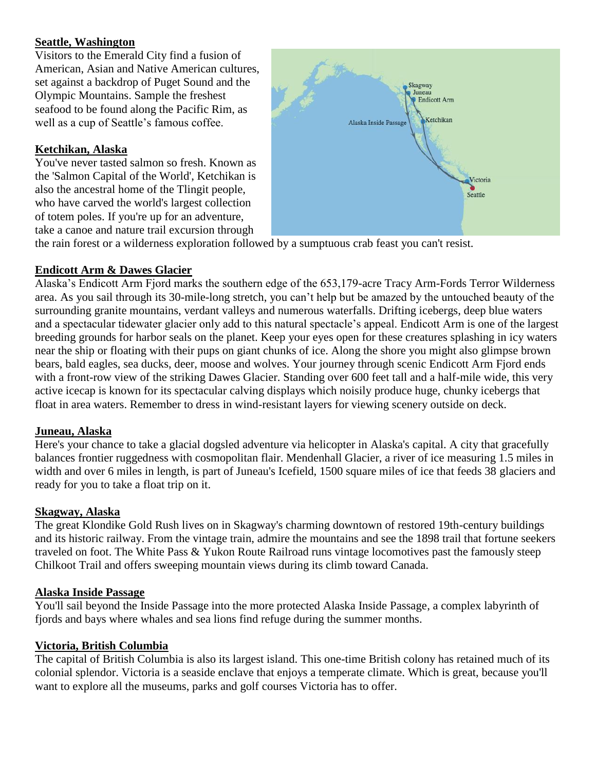### **Seattle, Washington**

Visitors to the Emerald City find a fusion of American, Asian and Native American cultures, set against a backdrop of Puget Sound and the Olympic Mountains. Sample the freshest seafood to be found along the Pacific Rim, as well as a cup of Seattle's famous coffee.

#### **Ketchikan, Alaska**

You've never tasted salmon so fresh. Known as the 'Salmon Capital of the World', Ketchikan is also the ancestral home of the Tlingit people, who have carved the world's largest collection of totem poles. If you're up for an adventure, take a canoe and nature trail excursion through



the rain forest or a wilderness exploration followed by a sumptuous crab feast you can't resist.

#### **Endicott Arm & Dawes Glacier**

Alaska's Endicott Arm Fjord marks the southern edge of the 653,179-acre Tracy Arm-Fords Terror Wilderness area. As you sail through its 30-mile-long stretch, you can't help but be amazed by the untouched beauty of the surrounding granite mountains, verdant valleys and numerous waterfalls. Drifting icebergs, deep blue waters and a spectacular tidewater glacier only add to this natural spectacle's appeal. Endicott Arm is one of the largest breeding grounds for harbor seals on the planet. Keep your eyes open for these creatures splashing in icy waters near the ship or floating with their pups on giant chunks of ice. Along the shore you might also glimpse brown bears, bald eagles, sea ducks, deer, moose and wolves. Your journey through scenic Endicott Arm Fjord ends with a front-row view of the striking Dawes Glacier. Standing over 600 feet tall and a half-mile wide, this very active icecap is known for its spectacular calving displays which noisily produce huge, chunky icebergs that float in area waters. Remember to dress in wind-resistant layers for viewing scenery outside on deck.

#### **Juneau, Alaska**

Here's your chance to take a glacial dogsled adventure via helicopter in Alaska's capital. A city that gracefully balances frontier ruggedness with cosmopolitan flair. Mendenhall Glacier, a river of ice measuring 1.5 miles in width and over 6 miles in length, is part of Juneau's Icefield, 1500 square miles of ice that feeds 38 glaciers and ready for you to take a float trip on it.

#### **Skagway, Alaska**

The great Klondike Gold Rush lives on in Skagway's charming downtown of restored 19th-century buildings and its historic railway. From the vintage train, admire the mountains and see the 1898 trail that fortune seekers traveled on foot. The White Pass & Yukon Route Railroad runs vintage locomotives past the famously steep Chilkoot Trail and offers sweeping mountain views during its climb toward Canada.

#### **Alaska Inside Passage**

You'll sail beyond the Inside Passage into the more protected Alaska Inside Passage, a complex labyrinth of fjords and bays where whales and sea lions find refuge during the summer months.

#### **Victoria, British Columbia**

The capital of British Columbia is also its largest island. This one-time British colony has retained much of its colonial splendor. Victoria is a seaside enclave that enjoys a temperate climate. Which is great, because you'll want to explore all the museums, parks and golf courses Victoria has to offer.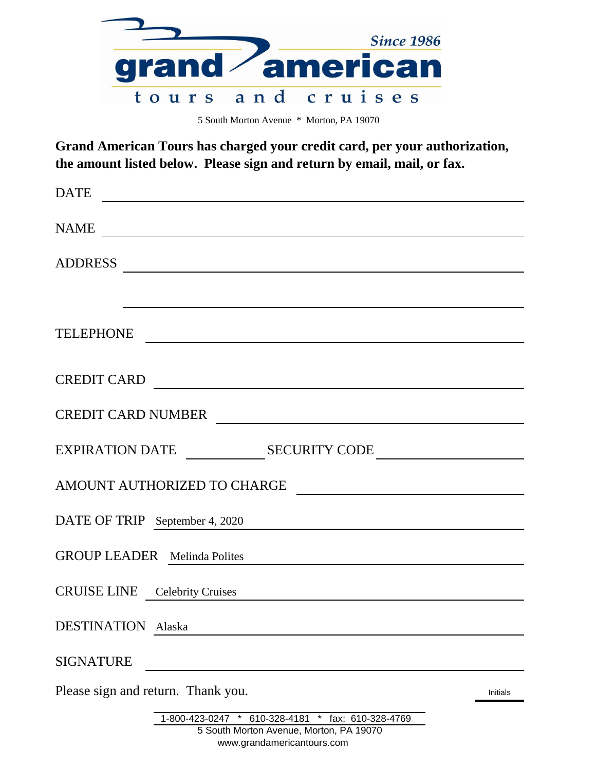|  | <b>Since 1986</b> |
|--|-------------------|
|  | grand american    |
|  | tours and cruises |

5 South Morton Avenue \* Morton, PA 19070

**Grand American Tours has charged your credit card, per your authorization, the amount listed below. Please sign and return by email, mail, or fax.**

| <b>DATE</b>                                                                                                                                                                                                                                              |  |
|----------------------------------------------------------------------------------------------------------------------------------------------------------------------------------------------------------------------------------------------------------|--|
| NAME                                                                                                                                                                                                                                                     |  |
| ADDRESS                                                                                                                                                                                                                                                  |  |
|                                                                                                                                                                                                                                                          |  |
| <b>TELEPHONE</b><br><u> Andreas Andreas Andreas Andreas Andreas Andreas Andreas Andreas Andreas Andreas Andreas Andreas Andreas Andreas Andreas Andreas Andreas Andreas Andreas Andreas Andreas Andreas Andreas Andreas Andreas Andreas Andreas Andr</u> |  |
| CREDIT CARD                                                                                                                                                                                                                                              |  |
| CREDIT CARD NUMBER                                                                                                                                                                                                                                       |  |
|                                                                                                                                                                                                                                                          |  |
| AMOUNT AUTHORIZED TO CHARGE                                                                                                                                                                                                                              |  |
| DATE OF TRIP September 4, 2020                                                                                                                                                                                                                           |  |
| <b>GROUP LEADER</b> Melinda Polites                                                                                                                                                                                                                      |  |
| <b>CRUISE LINE</b> Celebrity Cruises                                                                                                                                                                                                                     |  |
| <b>DESTINATION</b><br>Alaska                                                                                                                                                                                                                             |  |
| <b>SIGNATURE</b>                                                                                                                                                                                                                                         |  |
| Please sign and return. Thank you.<br>Initials                                                                                                                                                                                                           |  |
| 1-800-423-0247<br>610-328-4181<br>fax: 610-328-4769<br>×<br>$\ast$                                                                                                                                                                                       |  |

www.grandamericantours.com 5 South Morton Avenue, Morton, PA 19070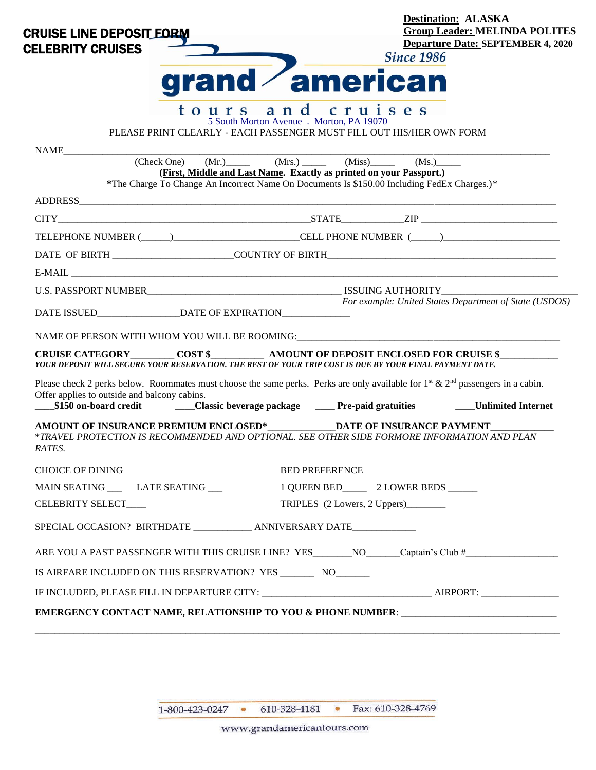| <b>CRUISE LINE DEPOSIT EORM</b><br><b>CELEBRITY CRUISES</b>                                                                                                                                                                                                                                                                                   | <b>Destination: ALASKA</b><br><b>Group Leader: MELINDA POLITES</b><br><b>Departure Date: SEPTEMBER 4, 2020</b><br><b>Since 1986</b>                                                                                                            |
|-----------------------------------------------------------------------------------------------------------------------------------------------------------------------------------------------------------------------------------------------------------------------------------------------------------------------------------------------|------------------------------------------------------------------------------------------------------------------------------------------------------------------------------------------------------------------------------------------------|
|                                                                                                                                                                                                                                                                                                                                               | grand american                                                                                                                                                                                                                                 |
| tours and                                                                                                                                                                                                                                                                                                                                     | cruises<br>5 South Morton Avenue . Morton, PA 19070<br>PLEASE PRINT CLEARLY - EACH PASSENGER MUST FILL OUT HIS/HER OWN FORM                                                                                                                    |
|                                                                                                                                                                                                                                                                                                                                               |                                                                                                                                                                                                                                                |
|                                                                                                                                                                                                                                                                                                                                               | $(Check One)$ $(Mr.)$ $(Mrs.)$ $(Miss)$ $(Miss)$ $(Mss)$ $(Mss)$ $(Ms.)$<br>(First, Middle and Last Name. Exactly as printed on your Passport.)<br>*The Charge To Change An Incorrect Name On Documents Is \$150.00 Including FedEx Charges.)* |
|                                                                                                                                                                                                                                                                                                                                               |                                                                                                                                                                                                                                                |
|                                                                                                                                                                                                                                                                                                                                               |                                                                                                                                                                                                                                                |
|                                                                                                                                                                                                                                                                                                                                               | TELEPHONE NUMBER (_____)___________________________CELL PHONE NUMBER (_____)________________________                                                                                                                                           |
|                                                                                                                                                                                                                                                                                                                                               |                                                                                                                                                                                                                                                |
|                                                                                                                                                                                                                                                                                                                                               |                                                                                                                                                                                                                                                |
|                                                                                                                                                                                                                                                                                                                                               |                                                                                                                                                                                                                                                |
|                                                                                                                                                                                                                                                                                                                                               |                                                                                                                                                                                                                                                |
|                                                                                                                                                                                                                                                                                                                                               | NAME OF PERSON WITH WHOM YOU WILL BE ROOMING: University of the control of the control of the control of the control of the control of the control of the control of the control of the control of the control of the control                  |
|                                                                                                                                                                                                                                                                                                                                               |                                                                                                                                                                                                                                                |
|                                                                                                                                                                                                                                                                                                                                               | Please check 2 perks below. Roommates must choose the same perks. Perks are only available for 1 <sup>st</sup> & 2 <sup>nd</sup> passengers in a cabin.                                                                                        |
| YOUR DEPOSIT WILL SECURE YOUR RESERVATION. THE REST OF YOUR TRIP COST IS DUE BY YOUR FINAL PAYMENT DATE.<br>Offer applies to outside and balcony cabins.                                                                                                                                                                                      | For example: United States Department of State (USDOS)<br>_\$150 on-board credit ________Classic beverage package _______Pre-paid gratuities ________Unlimited Internet                                                                        |
|                                                                                                                                                                                                                                                                                                                                               |                                                                                                                                                                                                                                                |
|                                                                                                                                                                                                                                                                                                                                               | <b>BED PREFERENCE</b>                                                                                                                                                                                                                          |
|                                                                                                                                                                                                                                                                                                                                               |                                                                                                                                                                                                                                                |
|                                                                                                                                                                                                                                                                                                                                               | TRIPLES (2 Lowers, 2 Uppers)                                                                                                                                                                                                                   |
|                                                                                                                                                                                                                                                                                                                                               |                                                                                                                                                                                                                                                |
| AMOUNT OF INSURANCE PREMIUM ENCLOSED* DATE OF INSURANCE PAYMENT<br>*TRAVEL PROTECTION IS RECOMMENDED AND OPTIONAL. SEE OTHER SIDE FORMORE INFORMATION AND PLAN<br>RATES.<br><b>CHOICE OF DINING</b><br>MAIN SEATING ______ LATE SEATING ____<br>CELEBRITY SELECT___<br>SPECIAL OCCASION? BIRTHDATE _____________ ANNIVERSARY DATE____________ | ARE YOU A PAST PASSENGER WITH THIS CRUISE LINE? YES_______NO______Captain's Club #__________________                                                                                                                                           |
| IS AIRFARE INCLUDED ON THIS RESERVATION? YES ___________ NO_________                                                                                                                                                                                                                                                                          |                                                                                                                                                                                                                                                |
|                                                                                                                                                                                                                                                                                                                                               |                                                                                                                                                                                                                                                |

1-800-423-0247 • 610-328-4181 • Fax: 610-328-4769